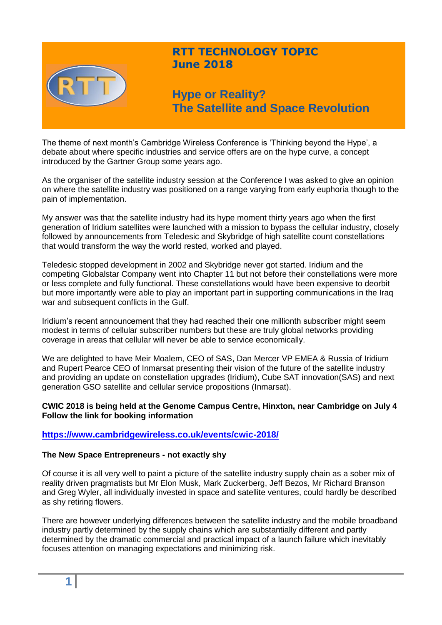

# **RTT TECHNOLOGY TOPIC June 2018**

**Hype or Reality? The Satellite and Space Revolution**

The theme of next month's Cambridge Wireless Conference is 'Thinking beyond the Hype', a debate about where specific industries and service offers are on the hype curve, a concept introduced by the Gartner Group some years ago.

As the organiser of the satellite industry session at the Conference I was asked to give an opinion on where the satellite industry was positioned on a range varying from early euphoria though to the pain of implementation.

My answer was that the satellite industry had its hype moment thirty years ago when the first generation of Iridium satellites were launched with a mission to bypass the cellular industry, closely followed by announcements from Teledesic and Skybridge of high satellite count constellations that would transform the way the world rested, worked and played.

Teledesic stopped development in 2002 and Skybridge never got started. Iridium and the competing Globalstar Company went into Chapter 11 but not before their constellations were more or less complete and fully functional. These constellations would have been expensive to deorbit but more importantly were able to play an important part in supporting communications in the Iraq war and subsequent conflicts in the Gulf.

Iridium's recent announcement that they had reached their one millionth subscriber might seem modest in terms of cellular subscriber numbers but these are truly global networks providing coverage in areas that cellular will never be able to service economically.

We are delighted to have Meir Moalem, CEO of SAS, Dan Mercer VP EMEA & Russia of Iridium and Rupert Pearce CEO of Inmarsat presenting their vision of the future of the satellite industry and providing an update on constellation upgrades (Iridium), Cube SAT innovation(SAS) and next generation GSO satellite and cellular service propositions (Inmarsat).

# **CWIC 2018 is being held at the Genome Campus Centre, Hinxton, near Cambridge on July 4 Follow the link for booking information**

# **<https://www.cambridgewireless.co.uk/events/cwic-2018/>**

# **The New Space Entrepreneurs - not exactly shy**

Of course it is all very well to paint a picture of the satellite industry supply chain as a sober mix of reality driven pragmatists but Mr Elon Musk, Mark Zuckerberg, Jeff Bezos, Mr Richard Branson and Greg Wyler, all individually invested in space and satellite ventures, could hardly be described as shy retiring flowers.

There are however underlying differences between the satellite industry and the mobile broadband industry partly determined by the supply chains which are substantially different and partly determined by the dramatic commercial and practical impact of a launch failure which inevitably focuses attention on managing expectations and minimizing risk.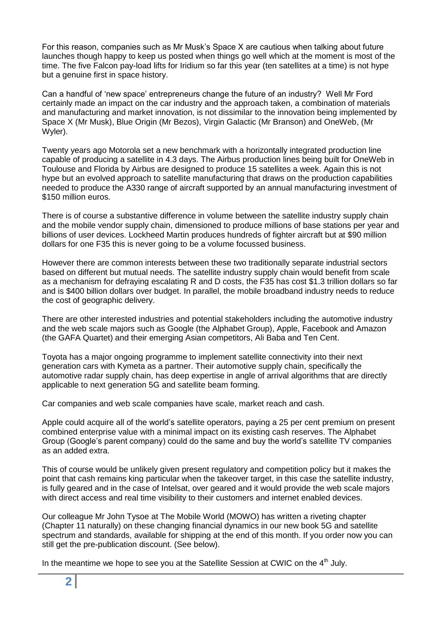For this reason, companies such as Mr Musk's Space X are cautious when talking about future launches though happy to keep us posted when things go well which at the moment is most of the time. The five Falcon pay-load lifts for Iridium so far this year (ten satellites at a time) is not hype but a genuine first in space history.

Can a handful of 'new space' entrepreneurs change the future of an industry? Well Mr Ford certainly made an impact on the car industry and the approach taken, a combination of materials and manufacturing and market innovation, is not dissimilar to the innovation being implemented by Space X (Mr Musk), Blue Origin (Mr Bezos), Virgin Galactic (Mr Branson) and OneWeb, (Mr Wyler).

Twenty years ago Motorola set a new benchmark with a horizontally integrated production line capable of producing a satellite in 4.3 days. The Airbus production lines being built for OneWeb in Toulouse and Florida by Airbus are designed to produce 15 satellites a week. Again this is not hype but an evolved approach to satellite manufacturing that draws on the production capabilities needed to produce the A330 range of aircraft supported by an annual manufacturing investment of \$150 million euros.

There is of course a substantive difference in volume between the satellite industry supply chain and the mobile vendor supply chain, dimensioned to produce millions of base stations per year and billions of user devices. Lockheed Martin produces hundreds of fighter aircraft but at \$90 million dollars for one F35 this is never going to be a volume focussed business.

However there are common interests between these two traditionally separate industrial sectors based on different but mutual needs. The satellite industry supply chain would benefit from scale as a mechanism for defraying escalating R and D costs, the F35 has cost \$1.3 trillion dollars so far and is \$400 billion dollars over budget. In parallel, the mobile broadband industry needs to reduce the cost of geographic delivery.

There are other interested industries and potential stakeholders including the automotive industry and the web scale majors such as Google (the Alphabet Group), Apple, Facebook and Amazon (the GAFA Quartet) and their emerging Asian competitors, Ali Baba and Ten Cent.

Toyota has a major ongoing programme to implement satellite connectivity into their next generation cars with Kymeta as a partner. Their automotive supply chain, specifically the automotive radar supply chain, has deep expertise in angle of arrival algorithms that are directly applicable to next generation 5G and satellite beam forming.

Car companies and web scale companies have scale, market reach and cash.

Apple could acquire all of the world's satellite operators, paying a 25 per cent premium on present combined enterprise value with a minimal impact on its existing cash reserves. The Alphabet Group (Google's parent company) could do the same and buy the world's satellite TV companies as an added extra.

This of course would be unlikely given present regulatory and competition policy but it makes the point that cash remains king particular when the takeover target, in this case the satellite industry, is fully geared and in the case of Intelsat, over geared and it would provide the web scale majors with direct access and real time visibility to their customers and internet enabled devices.

Our colleague Mr John Tysoe at The Mobile World (MOWO) has written a riveting chapter (Chapter 11 naturally) on these changing financial dynamics in our new book 5G and satellite spectrum and standards, available for shipping at the end of this month. If you order now you can still get the pre-publication discount. (See below).

In the meantime we hope to see you at the Satellite Session at CWIC on the  $4<sup>th</sup>$  July.